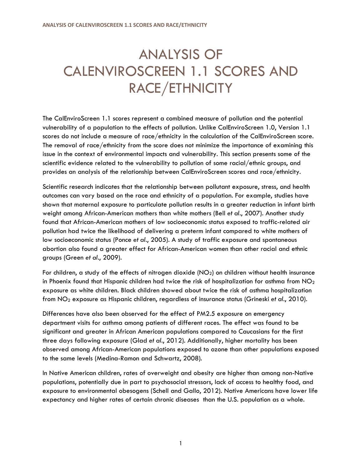## ANALYSIS OF CALENVIROSCREEN 1.1 SCORES AND RACE/ETHNICITY

The CalEnviroScreen 1.1 scores represent a combined measure of pollution and the potential vulnerability of a population to the effects of pollution. Unlike CalEnviroScreen 1.0, Version 1.1 scores do not include a measure of race/ethnicity in the calculation of the CalEnviroScreen score. The removal of race/ethnicity from the score does not minimize the importance of examining this issue in the context of environmental impacts and vulnerability. This section presents some of the scientific evidence related to the vulnerability to pollution of some racial/ethnic groups, and provides an analysis of the relationship between CalEnviroScreen scores and race/ethnicity.

Scientific research indicates that the relationship between pollutant exposure, stress, and health outcomes can vary based on the race and ethnicity of a population. For example, studies have shown that maternal exposure to particulate pollution results in a greater reduction in infant birth weight among African-American mothers than white mothers (Bell *et al*., 2007). Another study found that African-American mothers of low socioeconomic status exposed to traffic-related air pollution had twice the likelihood of delivering a preterm infant compared to white mothers of low socioeconomic status (Ponce *et al*., 2005). A study of traffic exposure and spontaneous abortion also found a greater effect for African-American women than other racial and ethnic groups (Green *et al*., 2009).

For children, a study of the effects of nitrogen dioxide ( $NO<sub>2</sub>$ ) on children without health insurance in Phoenix found that Hispanic children had twice the risk of hospitalization for asthma from  $NO<sub>2</sub>$ exposure as white children. Black children showed about twice the risk of asthma hospitalization from NO<sup>2</sup> exposure as Hispanic children, regardless of insurance status (Grineski *et al.*, 2010).

Differences have also been observed for the effect of PM2.5 exposure on emergency department visits for asthma among patients of different races. The effect was found to be significant and greater in African American populations compared to Caucasians for the first three days following exposure (Glad *et al.*, 2012). Additionally, higher mortality has been observed among African-American populations exposed to ozone than other populations exposed to the same levels (Medina-Ramon and Schwartz, 2008).

In Native American children, rates of overweight and obesity are higher than among non-Native populations, potentially due in part to psychosocial stressors, lack of access to healthy food, and exposure to environmental obesogens (Schell and Gallo, 2012). Native Americans have lower life expectancy and higher rates of certain chronic diseases than the U.S. population as a whole.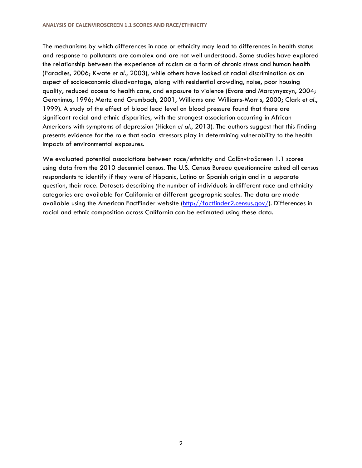The mechanisms by which differences in race or ethnicity may lead to differences in health status and response to pollutants are complex and are not well understood. Some studies have explored the relationship between the experience of racism as a form of chronic stress and human health (Paradies, 2006; Kwate *et al.*, 2003), while others have looked at racial discrimination as an aspect of socioeconomic disadvantage, along with residential crowding, noise, poor housing quality, reduced access to health care, and exposure to violence (Evans and Marcynyszyn, 2004; Geronimus, 1996; Mertz and Grumbach, 2001, Williams and Williams-Morris, 2000; Clark *et al.*, 1999). A study of the effect of blood lead level on blood pressure found that there are significant racial and ethnic disparities, with the strongest association occurring in African Americans with symptoms of depression (Hicken *et al.*, 2013). The authors suggest that this finding presents evidence for the role that social stressors play in determining vulnerability to the health impacts of environmental exposures.

We evaluated potential associations between race/ethnicity and CalEnviroScreen 1.1 scores using data from the 2010 decennial census. The U.S. Census Bureau questionnaire asked all census respondents to identify if they were of Hispanic, Latino or Spanish origin and in a separate question, their race. Datasets describing the number of individuals in different race and ethnicity categories are available for California at different geographic scales. The data are made available using the American FactFinder website [\(http://factfinder2.census.gov/](http://factfinder2.census.gov/)). Differences in racial and ethnic composition across California can be estimated using these data.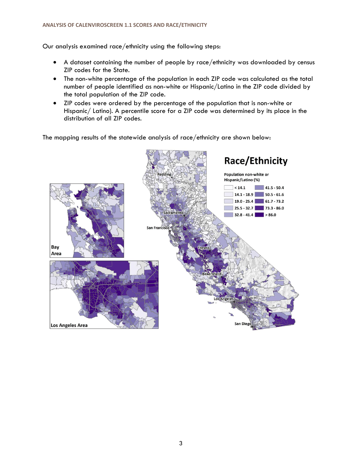## **ANALYSIS OF CALENVIROSCREEN 1.1 SCORES AND RACE/ETHNICITY**

Our analysis examined race/ethnicity using the following steps:

- · A dataset containing the number of people by race/ethnicity was downloaded by census ZIP codes for the State.
- · The non-white percentage of the population in each ZIP code was calculated as the total number of people identified as non-white or Hispanic/Latino in the ZIP code divided by the total population of the ZIP code.
- · ZIP codes were ordered by the percentage of the population that is non-white or Hispanic/ Latino). A percentile score for a ZIP code was determined by its place in the distribution of all ZIP codes.

The mapping results of the statewide analysis of race/ethnicity are shown below:

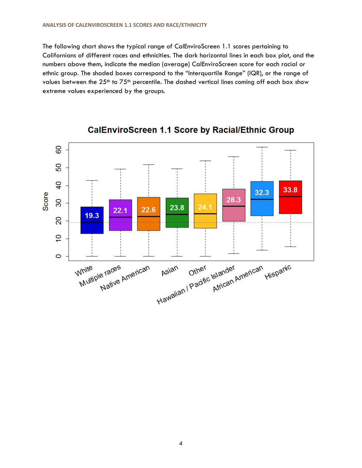The following chart shows the typical range of CalEnviroScreen 1.1 scores pertaining to Californians of different races and ethnicities. The dark horizontal lines in each box plot, and the numbers above them, indicate the median (average) CalEnviroScreen score for each racial or ethnic group. The shaded boxes correspond to the "Interquartile Range" (IQR), or the range of values between the 25<sup>th</sup> to 75<sup>th</sup> percentile. The dashed vertical lines coming off each box show extreme values experienced by the groups.



**CalEnviroScreen 1.1 Score by Racial/Ethnic Group**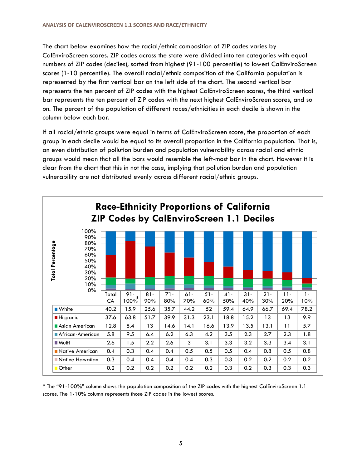The chart below examines how the racial/ethnic composition of ZIP codes varies by CalEnviroScreen scores. ZIP codes across the state were divided into ten categories with equal numbers of ZIP codes (deciles), sorted from highest (91-100 percentile) to lowest CalEnviroScreen scores (1-10 percentile). The overall racial/ethnic composition of the California population is represented by the first vertical bar on the left side of the chart. The second vertical bar represents the ten percent of ZIP codes with the highest CalEnviroScreen scores, the third vertical bar represents the ten percent of ZIP codes with the next highest CalEnviroScreen scores, and so on. The percent of the population of different races/ethnicities in each decile is shown in the column below each bar.

If all racial/ethnic groups were equal in terms of CalEnviroScreen score, the proportion of each group in each decile would be equal to its overall proportion in the California population. That is, an even distribution of pollution burden and population vulnerability across racial and ethnic groups would mean that all the bars would resemble the left-most bar in the chart. However it is clear from the chart that this in not the case, implying that pollution burden and population vulnerability are not distributed evenly across different racial/ethnic groups.



\* The "91-100%" column shows the population composition of the ZIP codes with the highest CalEnviroScreen 1.1 scores. The 1-10% column represents those ZIP codes in the lowest scores.